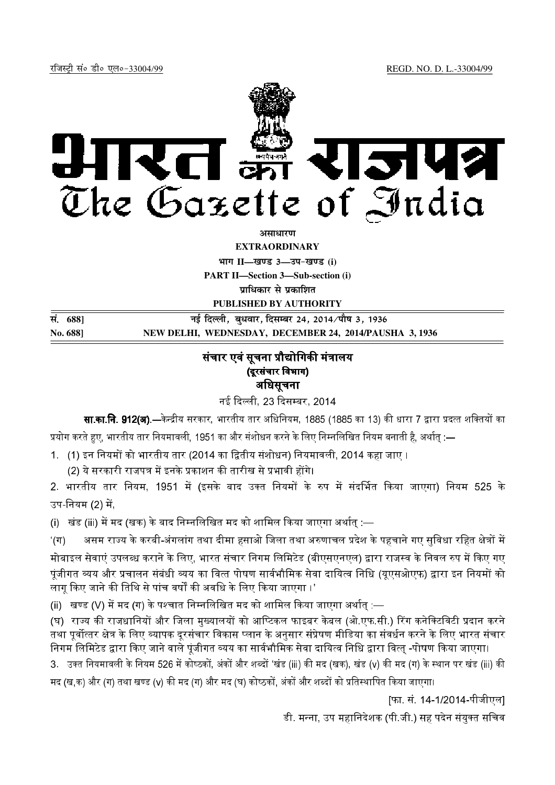

*<u>ature and</u>* 

**EXTRAORDINARY**

**Hkkx II—[k.M 3—mi&[k.M (i)**

**PART II—Section 3—Sub-section (i)**

**प्राधिकार से प्रकाशित** 

**PUBLISHED BY AUTHORITY**

**la- 688] ubZ fnYyh] cq/okj] fnlEcj 24] 2014@ikS"k 3] 1936 No. 688] NEW DELHI, WEDNESDAY, DECEMBER 24, 2014/PAUSHA 3, 1936**

## संचार एवं सूचना प्रौद्योगिकी मंत्रालय (दूरसंचार विभाग)

अधिसूचना

नई दिल्ली. 23 दिसम्बर. 2014

**सा.का.नि. 912(अ).**—केन्द्रीय सरकार, भारतीय तार अधिनियम, 1885 (1885 का 13) की धारा 7 द्वारा प्रदत्त शक्तियों का प्रयोग करते हए. भारतीय तार नियमावली. 1951 का और संशोधन करने के लिए निम्नलिखित नियम बनाती है. अर्थात :—

1. (1) इन नियमों को भारतीय तार (2014 का द्वितीय संशोधन) नियमावली, 2014 कहा जाए ।

<u>(2) ये सरकारी राजपत्र में इनके प्रकाशन की तारीख से प्रभावी होंगे।</u>

2. भारतीय तार नियम, 1951 में (इसके बाद उक्त नियमों के रुप में संदर्भित किया जाएगा) नियम 525 के उप-नियम (2) में,

(i) खंड (iii) में मद (खक) के बाद निम्नलिखित मद को शामिल किया जाएगा अर्थात :—

'(ग) असम राज्य के करबी-अंगलांग तथा दीमा हसाओ जिला तथा अरुणाचल प्रदेश के पहचाने गए सुविधा रहित क्षेत्रों में मोबाइल सेवाएं उपलब्ध कराने के लिए, भारत संचार निगम लिमिटेड (बीएसएनएल) द्वारा राजस्व के निवल रुप में किए गए पंजीगत व्यय और प्रचालन संबंधी व्यय का वित्त पोषण सार्वभौमिक सेवा दायित्व निधि (युएसओएफ) द्वारा इन नियमों को लागू किए जाने की तिथि से पांच वर्षों की अवधि के लिए किया जाएगा ।'

(ii) खण्ड (V) में मद (ग) के पश्चात निम्नलिखित मद को शामिल किया जाएगा अर्थात :—

(घ) राज्य की राजधानियों और जिला मुख्यालयों को आप्टिकल फाइबर केबल (ओ.एफ.सी.) रिंग कनेक्टिविटी प्रदान करने तथा पूर्वोत्तर क्षेत्र के लिए व्यापक दूरसंचार विकास प्लान के अनुसार संप्रेषण मीडिया का संवर्धन करने के लिए भारत संचार निगम लिमिटेड द्वारा किए जाने वाले पंजीगत व्यय का सार्वभौमिक सेवा दायित्व निधि द्वारा वित्त -पोषण किया जाएगा।

3. उक्त नियमावली के नियम 526 में कोष्ठकों, अंकों और शब्दों 'खंड (iii) की मद (खक), खंड (v) की मद (ग) के स्थान पर खंड (iii) की मद (ख.क) और (ग) तथा खण्ड (v) की मद (ग) और मद (घ) कोष्ठकों. अंकों और शब्दों को प्रतिस्थापित किया जाएगा।

[फा. सं. 14-1/2014-पीजीएल]

डी. मन्ना, उप महानिदेशक (पी.जी.) सह पदेन संयुक्त सचिव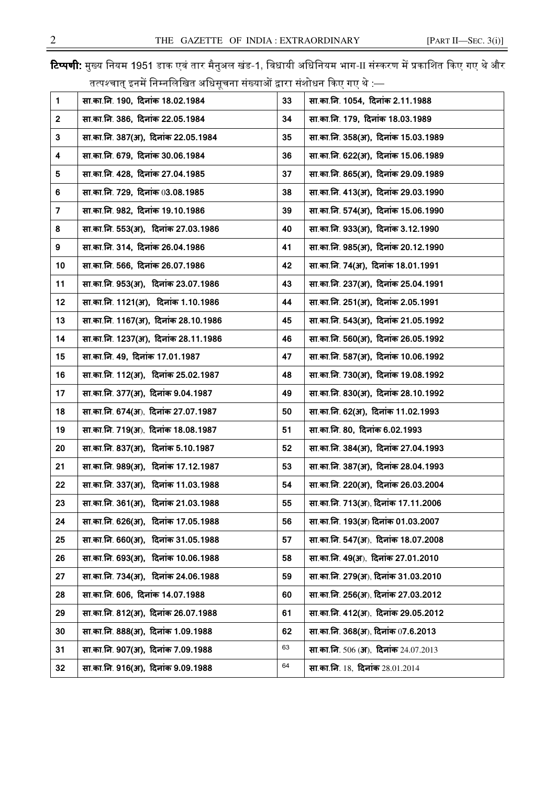**टिप्पणी:** मुख्य नियम 1951 डाक एवं तार मैनुअल खंड-1, विधायी अधिनियम भाग-II संस्करण में प्रकाशित किए गए थे और तत्पश्चात इनमें निम्नलिखित अधिसचना संख्याओं द्वारा संशोधन किए गए थे :—

| $\mathbf{1}$     | सा.का.नि. 190, दिनांक 18.02.1984     | 33 | सा.का.नि. 1054, दिनांक 2.11.1988      |
|------------------|--------------------------------------|----|---------------------------------------|
| $\mathbf 2$      | सा.का.नि. 386, दिनांक 22.05.1984     | 34 | सा.का.नि. 179, दिनांक 18.03.1989      |
| 3                | सा.का.नि. 387(अ), दिनांक 22.05.1984  | 35 | सा.का.नि. 358(अ), दिनांक 15.03.1989   |
| 4                | सा.का.नि. 679, दिनांक 30.06.1984     | 36 | सा.का.नि. 622(अ), दिनांक 15.06.1989   |
| 5                | सा.का.नि. 428, दिनांक 27.04.1985     | 37 | सा.का.नि. 865(अ),  दिनांक 29.09.1989  |
| 6                | सा.का.नि. 729, दिनांक 03.08.1985     | 38 | सा.का.नि. 413(अ), दिनांक 29.03.1990   |
| $\overline{7}$   | सा.का.नि. 982, दिनांक 19.10.1986     | 39 | सा.का.नि. 574(अ), दिनांक 15.06.1990   |
| 8                | सा.का.नि. 553(अ), दिनांक 27.03.1986  | 40 | सा.का.नि. 933(अ), दिनांक 3.12.1990    |
| $\boldsymbol{9}$ | सा.का.नि. 314, दिनांक 26.04.1986     | 41 | सा.का.नि. 985(अ), दिनांक 20.12.1990   |
| 10               | सा.का.नि. 566, दिनांक 26.07.1986     | 42 | सा.का.नि. 74(अ), दिनांक 18.01.1991    |
| 11               | सा.का.नि. 953(अ), दिनांक 23.07.1986  | 43 | सा.का.नि. 237(अ), दिनांक 25.04.1991   |
| 12               | सा.का.नि. 1121(अ), दिनांक 1.10.1986  | 44 | सा.का.नि. 251(अ), दिनांक 2.05.1991    |
| 13               | सा.का.नि. 1167(अ), दिनांक 28.10.1986 | 45 | सा.का.नि. 543(अ), दिनांक 21.05.1992   |
| 14               | सा.का.नि. 1237(अ), दिनांक 28.11.1986 | 46 | सा.का.नि. 560(अ), दिनांक 26.05.1992   |
| 15               | सा.का.नि. 49, दिनांक 17.01.1987      | 47 | सा.का.नि. 587(अ), दिनांक 10.06.1992   |
| 16               | सा.का.नि. 112(अ), दिनांक 25.02.1987  | 48 | सा.का.नि. 730(अ), दिनांक 19.08.1992   |
| 17               | सा.का.नि. 377(अ), दिनांक 9.04.1987   | 49 | सा.का.नि. 830(अ), दिनांक 28.10.1992   |
| 18               | सा.का.नि. 674(अ), दिनांक 27.07.1987  | 50 | सा.का.नि. 62(अ), दिनांक 11.02.1993    |
| 19               | सा.का.नि. 719(अ), दिनांक 18.08.1987  | 51 | सा.का.नि. 80, दिनांक 6.02.1993        |
| 20               | सा.का.नि. 837(अ), दिनांक 5.10.1987   | 52 | सा.का.नि. 384(अ), दिनांक 27.04.1993   |
| 21               | सा.का.नि. 989(अ), दिनांक 17.12.1987  | 53 | सा.का.नि. 387(अ), दिनांक 28.04.1993   |
| 22               | सा.का.नि. 337(अ), दिनांक 11.03.1988  | 54 | सा.का.नि. 220(अ), दिनांक 26.03.2004   |
| 23               | सा.का.नि. 361(अ), दिनांक 21.03.1988  | 55 | सा.का.नि. 713(अ), दिनांक 17.11.2006   |
| 24               | सा.का.नि. 626(अ), दिनांक 17.05.1988  | 56 | सा.का.नि. 193(अ) दिनांक 01.03.2007    |
| 25               | सा.का.नि. 660(अ), दिनांक 31.05.1988  | 57 | सा.का.नि. 547(अ), दिनांक 18.07.2008   |
| 26               | सा.का.नि. 693(अ), दिनांक 10.06.1988  | 58 | सा.का.नि. 49(अ), दिनांक 27.01.2010    |
| 27               | सा.का.नि. 734(अ), दिनांक 24.06.1988  | 59 | सा.का.नि. 279(अ), दिनांक 31.03.2010   |
| 28               | सा.का.नि. 606, दिनांक 14.07.1988     | 60 | सा.का.नि. 256(अ), दिनांक 27.03.2012   |
| 29               | सा.का.नि. 812(अ), दिनांक 26.07.1988  | 61 | सा.का.नि. 412(अ), दिनांक 29.05.2012   |
| 30               | सा.का.नि. 888(अ), दिनांक 1.09.1988   | 62 | सा.का.नि. 368(अ), दिनांक 07.6.2013    |
| 31               | सा.का.नि. 907(अ), दिनांक 7.09.1988   | 63 | सा.का.नि. 506 (अ.), दिनांक 24.07.2013 |
| 32               | सा.का.नि. 916(अ), दिनांक 9.09.1988   | 64 | सा.का.नि. 18, दिनांक 28.01.2014       |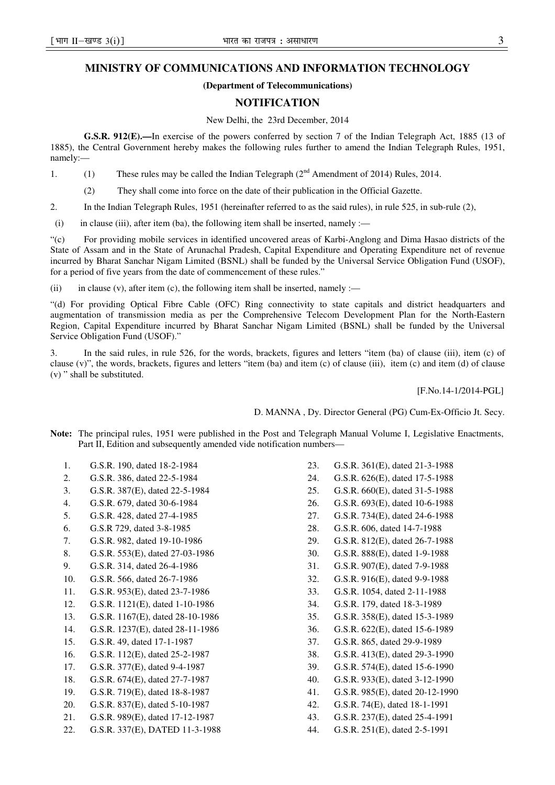## **MINISTRY OF COMMUNICATIONS AND INFORMATION TECHNOLOGY**

## **(Department of Telecommunications)**

## **NOTIFICATION**

New Delhi, the 23rd December, 2014

**G.S.R. 912(E).—**In exercise of the powers conferred by section 7 of the Indian Telegraph Act, 1885 (13 of 1885), the Central Government hereby makes the following rules further to amend the Indian Telegraph Rules, 1951, namely:—

1. (1) These rules may be called the Indian Telegraph  $(2<sup>nd</sup>$  Amendment of 2014) Rules, 2014.

(2) They shall come into force on the date of their publication in the Official Gazette.

2. In the Indian Telegraph Rules, 1951 (hereinafter referred to as the said rules), in rule 525, in sub-rule (2),

(i) in clause (iii), after item (ba), the following item shall be inserted, namely :—

"(c) For providing mobile services in identified uncovered areas of Karbi-Anglong and Dima Hasao districts of the State of Assam and in the State of Arunachal Pradesh, Capital Expenditure and Operating Expenditure net of revenue incurred by Bharat Sanchar Nigam Limited (BSNL) shall be funded by the Universal Service Obligation Fund (USOF), for a period of five years from the date of commencement of these rules."

(ii) in clause (v), after item (c), the following item shall be inserted, namely :—

"(d) For providing Optical Fibre Cable (OFC) Ring connectivity to state capitals and district headquarters and augmentation of transmission media as per the Comprehensive Telecom Development Plan for the North-Eastern Region, Capital Expenditure incurred by Bharat Sanchar Nigam Limited (BSNL) shall be funded by the Universal Service Obligation Fund (USOF)."

3. In the said rules, in rule 526, for the words, brackets, figures and letters "item (ba) of clause (iii), item (c) of clause (v)", the words, brackets, figures and letters "item (ba) and item (c) of clause (iii), item (c) and item (d) of clause (v) " shall be substituted.

[F.No.14-1/2014-PGL]

D. MANNA , Dy. Director General (PG) Cum-Ex-Officio Jt. Secy.

**Note:** The principal rules, 1951 were published in the Post and Telegraph Manual Volume I, Legislative Enactments, Part II, Edition and subsequently amended vide notification numbers—

- 1. G.S.R. 190, dated 18-2-1984
- 2. G.S.R. 386, dated 22-5-1984
- 3. G.S.R. 387(E), dated 22-5-1984
- 4. G.S.R. 679, dated 30-6-1984
- 5. G.S.R. 428, dated 27-4-1985
- 6. G.S.R 729, dated 3-8-1985
- 7. G.S.R. 982, dated 19-10-1986
- 8. G.S.R. 553(E), dated 27-03-1986
- 9. G.S.R. 314, dated 26-4-1986
- 10. G.S.R. 566, dated 26-7-1986
- 11. G.S.R. 953(E), dated 23-7-1986
- 12. G.S.R. 1121(E), dated 1-10-1986
- 13. G.S.R. 1167(E), dated 28-10-1986
- 14. G.S.R. 1237(E), dated 28-11-1986
- 15. G.S.R. 49, dated 17-1-1987
- 16. G.S.R. 112(E), dated 25-2-1987
- 17. G.S.R. 377(E), dated 9-4-1987
- 18. G.S.R. 674(E), dated 27-7-1987
- 19. G.S.R. 719(E), dated 18-8-1987
- 20. G.S.R. 837(E), dated 5-10-1987
- 21. G.S.R. 989(E), dated 17-12-1987
- 22. G.S.R. 337(E), DATED 11-3-1988
- 23. G.S.R. 361(E), dated 21-3-1988
- 24. G.S.R. 626(E), dated 17-5-1988
- 25. G.S.R. 660(E), dated 31-5-1988
- 26. G.S.R. 693(E), dated 10-6-1988
- 27. G.S.R. 734(E), dated 24-6-1988
- 28. G.S.R. 606, dated 14-7-1988
- 29. G.S.R. 812(E), dated 26-7-1988
- 30. G.S.R. 888(E), dated 1-9-1988
- 31. G.S.R. 907(E), dated 7-9-1988
- 32. G.S.R. 916(E), dated 9-9-1988
- 33. G.S.R. 1054, dated 2-11-1988
- 34. G.S.R. 179, dated 18-3-1989
- 35. G.S.R. 358(E), dated 15-3-1989
- 36. G.S.R. 622(E), dated 15-6-1989
- 37. G.S.R. 865, dated 29-9-1989
- 38. G.S.R. 413(E), dated 29-3-1990
- 39. G.S.R. 574(E), dated 15-6-1990
- 40. G.S.R. 933(E), dated 3-12-1990
- 41. G.S.R. 985(E), dated 20-12-1990
- 42. G.S.R. 74(E), dated 18-1-1991
- 43. G.S.R. 237(E), dated 25-4-1991
- 44. G.S.R. 251(E), dated 2-5-1991